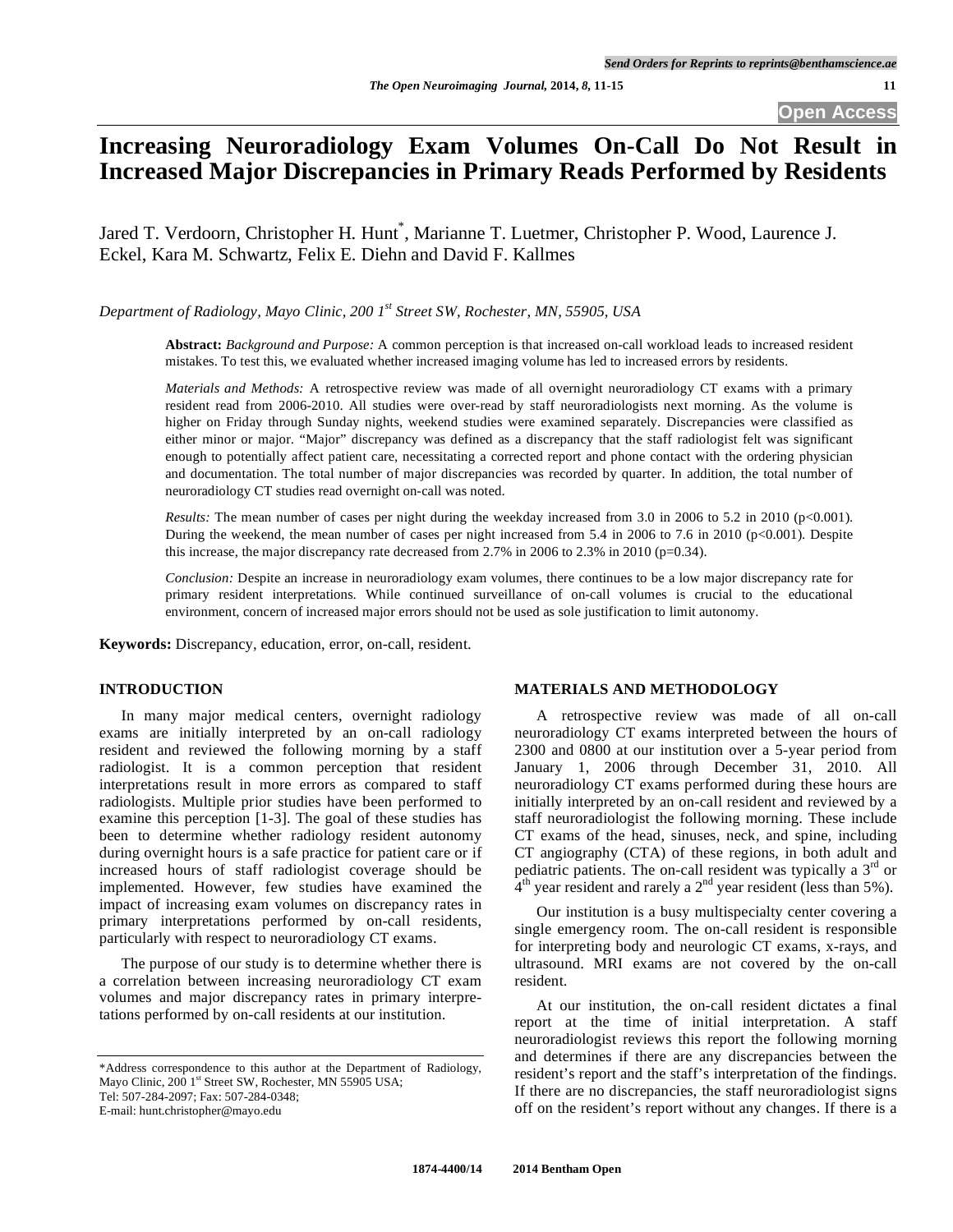# **Increasing Neuroradiology Exam Volumes On-Call Do Not Result in Increased Major Discrepancies in Primary Reads Performed by Residents**

Jared T. Verdoorn, Christopher H. Hunt\* , Marianne T. Luetmer, Christopher P. Wood, Laurence J. Eckel, Kara M. Schwartz, Felix E. Diehn and David F. Kallmes

*Department of Radiology, Mayo Clinic, 200 1st Street SW, Rochester, MN, 55905, USA* 

**Abstract:** *Background and Purpose:* A common perception is that increased on-call workload leads to increased resident mistakes. To test this, we evaluated whether increased imaging volume has led to increased errors by residents.

*Materials and Methods:* A retrospective review was made of all overnight neuroradiology CT exams with a primary resident read from 2006-2010. All studies were over-read by staff neuroradiologists next morning. As the volume is higher on Friday through Sunday nights, weekend studies were examined separately. Discrepancies were classified as either minor or major. "Major" discrepancy was defined as a discrepancy that the staff radiologist felt was significant enough to potentially affect patient care, necessitating a corrected report and phone contact with the ordering physician and documentation. The total number of major discrepancies was recorded by quarter. In addition, the total number of neuroradiology CT studies read overnight on-call was noted.

*Results:* The mean number of cases per night during the weekday increased from 3.0 in 2006 to 5.2 in 2010 ( $p<0.001$ ). During the weekend, the mean number of cases per night increased from 5.4 in 2006 to 7.6 in 2010 (p<0.001). Despite this increase, the major discrepancy rate decreased from 2.7% in 2006 to 2.3% in 2010 ( $p=0.34$ ).

*Conclusion:* Despite an increase in neuroradiology exam volumes, there continues to be a low major discrepancy rate for primary resident interpretations. While continued surveillance of on-call volumes is crucial to the educational environment, concern of increased major errors should not be used as sole justification to limit autonomy.

**Keywords:** Discrepancy, education, error, on-call, resident.

## **INTRODUCTION**

 In many major medical centers, overnight radiology exams are initially interpreted by an on-call radiology resident and reviewed the following morning by a staff radiologist. It is a common perception that resident interpretations result in more errors as compared to staff radiologists. Multiple prior studies have been performed to examine this perception [1-3]. The goal of these studies has been to determine whether radiology resident autonomy during overnight hours is a safe practice for patient care or if increased hours of staff radiologist coverage should be implemented. However, few studies have examined the impact of increasing exam volumes on discrepancy rates in primary interpretations performed by on-call residents, particularly with respect to neuroradiology CT exams.

 The purpose of our study is to determine whether there is a correlation between increasing neuroradiology CT exam volumes and major discrepancy rates in primary interpretations performed by on-call residents at our institution.

\*Address correspondence to this author at the Department of Radiology, Mayo Clinic, 200 1<sup>st</sup> Street SW, Rochester, MN 55905 USA; Tel: 507-284-2097; Fax: 507-284-0348;

E-mail: hunt.christopher@mayo.edu

## **MATERIALS AND METHODOLOGY**

 A retrospective review was made of all on-call neuroradiology CT exams interpreted between the hours of 2300 and 0800 at our institution over a 5-year period from January 1, 2006 through December 31, 2010. All neuroradiology CT exams performed during these hours are initially interpreted by an on-call resident and reviewed by a staff neuroradiologist the following morning. These include CT exams of the head, sinuses, neck, and spine, including CT angiography (CTA) of these regions, in both adult and pediatric patients. The on-call resident was typically a  $3<sup>rd</sup>$  or  $4<sup>th</sup>$  year resident and rarely a  $2<sup>nd</sup>$  year resident (less than 5%).

 Our institution is a busy multispecialty center covering a single emergency room. The on-call resident is responsible for interpreting body and neurologic CT exams, x-rays, and ultrasound. MRI exams are not covered by the on-call resident.

 At our institution, the on-call resident dictates a final report at the time of initial interpretation. A staff neuroradiologist reviews this report the following morning and determines if there are any discrepancies between the resident's report and the staff's interpretation of the findings. If there are no discrepancies, the staff neuroradiologist signs off on the resident's report without any changes. If there is a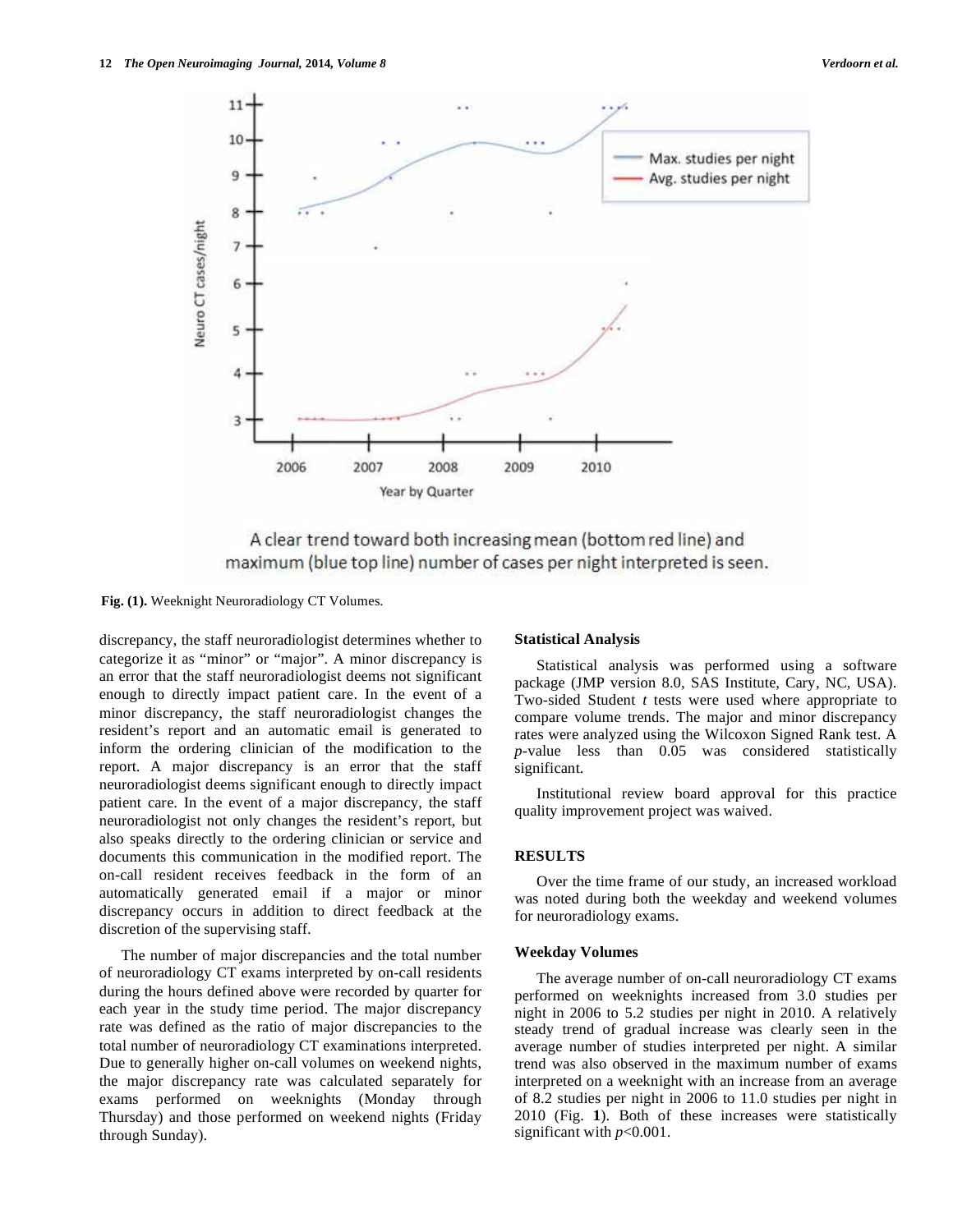

A clear trend toward both increasing mean (bottom red line) and maximum (blue top line) number of cases per night interpreted is seen.

**Fig. (1).** Weeknight Neuroradiology CT Volumes.

discrepancy, the staff neuroradiologist determines whether to categorize it as "minor" or "major". A minor discrepancy is an error that the staff neuroradiologist deems not significant enough to directly impact patient care. In the event of a minor discrepancy, the staff neuroradiologist changes the resident's report and an automatic email is generated to inform the ordering clinician of the modification to the report. A major discrepancy is an error that the staff neuroradiologist deems significant enough to directly impact patient care. In the event of a major discrepancy, the staff neuroradiologist not only changes the resident's report, but also speaks directly to the ordering clinician or service and documents this communication in the modified report. The on-call resident receives feedback in the form of an automatically generated email if a major or minor discrepancy occurs in addition to direct feedback at the discretion of the supervising staff.

 The number of major discrepancies and the total number of neuroradiology CT exams interpreted by on-call residents during the hours defined above were recorded by quarter for each year in the study time period. The major discrepancy rate was defined as the ratio of major discrepancies to the total number of neuroradiology CT examinations interpreted. Due to generally higher on-call volumes on weekend nights, the major discrepancy rate was calculated separately for exams performed on weeknights (Monday through Thursday) and those performed on weekend nights (Friday through Sunday).

## **Statistical Analysis**

 Statistical analysis was performed using a software package (JMP version 8.0, SAS Institute, Cary, NC, USA). Two-sided Student *t* tests were used where appropriate to compare volume trends. The major and minor discrepancy rates were analyzed using the Wilcoxon Signed Rank test. A *p*-value less than 0.05 was considered statistically significant.

 Institutional review board approval for this practice quality improvement project was waived.

## **RESULTS**

 Over the time frame of our study, an increased workload was noted during both the weekday and weekend volumes for neuroradiology exams.

## **Weekday Volumes**

 The average number of on-call neuroradiology CT exams performed on weeknights increased from 3.0 studies per night in 2006 to 5.2 studies per night in 2010. A relatively steady trend of gradual increase was clearly seen in the average number of studies interpreted per night. A similar trend was also observed in the maximum number of exams interpreted on a weeknight with an increase from an average of 8.2 studies per night in 2006 to 11.0 studies per night in 2010 (Fig. **1**). Both of these increases were statistically significant with *p*<0.001.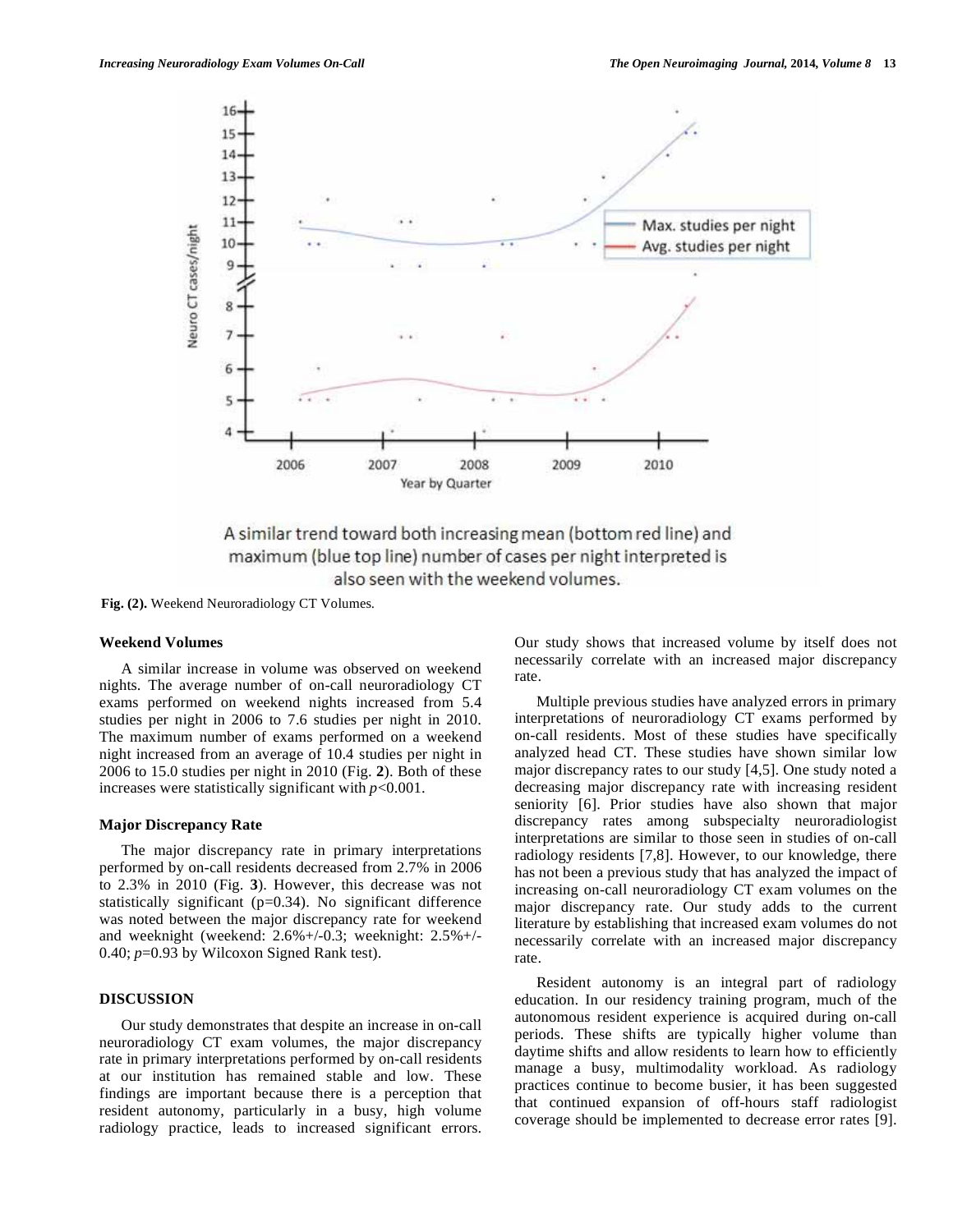



**Fig. (2).** Weekend Neuroradiology CT Volumes.

## **Weekend Volumes**

 A similar increase in volume was observed on weekend nights. The average number of on-call neuroradiology CT exams performed on weekend nights increased from 5.4 studies per night in 2006 to 7.6 studies per night in 2010. The maximum number of exams performed on a weekend night increased from an average of 10.4 studies per night in 2006 to 15.0 studies per night in 2010 (Fig. **2**). Both of these increases were statistically significant with *p*<0.001.

#### **Major Discrepancy Rate**

 The major discrepancy rate in primary interpretations performed by on-call residents decreased from 2.7% in 2006 to 2.3% in 2010 (Fig. **3**). However, this decrease was not statistically significant (p=0.34). No significant difference was noted between the major discrepancy rate for weekend and weeknight (weekend: 2.6%+/-0.3; weeknight: 2.5%+/- 0.40; *p*=0.93 by Wilcoxon Signed Rank test).

## **DISCUSSION**

 Our study demonstrates that despite an increase in on-call neuroradiology CT exam volumes, the major discrepancy rate in primary interpretations performed by on-call residents at our institution has remained stable and low. These findings are important because there is a perception that resident autonomy, particularly in a busy, high volume radiology practice, leads to increased significant errors. Our study shows that increased volume by itself does not necessarily correlate with an increased major discrepancy rate.

 Multiple previous studies have analyzed errors in primary interpretations of neuroradiology CT exams performed by on-call residents. Most of these studies have specifically analyzed head CT. These studies have shown similar low major discrepancy rates to our study [4,5]. One study noted a decreasing major discrepancy rate with increasing resident seniority [6]. Prior studies have also shown that major discrepancy rates among subspecialty neuroradiologist interpretations are similar to those seen in studies of on-call radiology residents [7,8]. However, to our knowledge, there has not been a previous study that has analyzed the impact of increasing on-call neuroradiology CT exam volumes on the major discrepancy rate. Our study adds to the current literature by establishing that increased exam volumes do not necessarily correlate with an increased major discrepancy rate.

 Resident autonomy is an integral part of radiology education. In our residency training program, much of the autonomous resident experience is acquired during on-call periods. These shifts are typically higher volume than daytime shifts and allow residents to learn how to efficiently manage a busy, multimodality workload. As radiology practices continue to become busier, it has been suggested that continued expansion of off-hours staff radiologist coverage should be implemented to decrease error rates [9].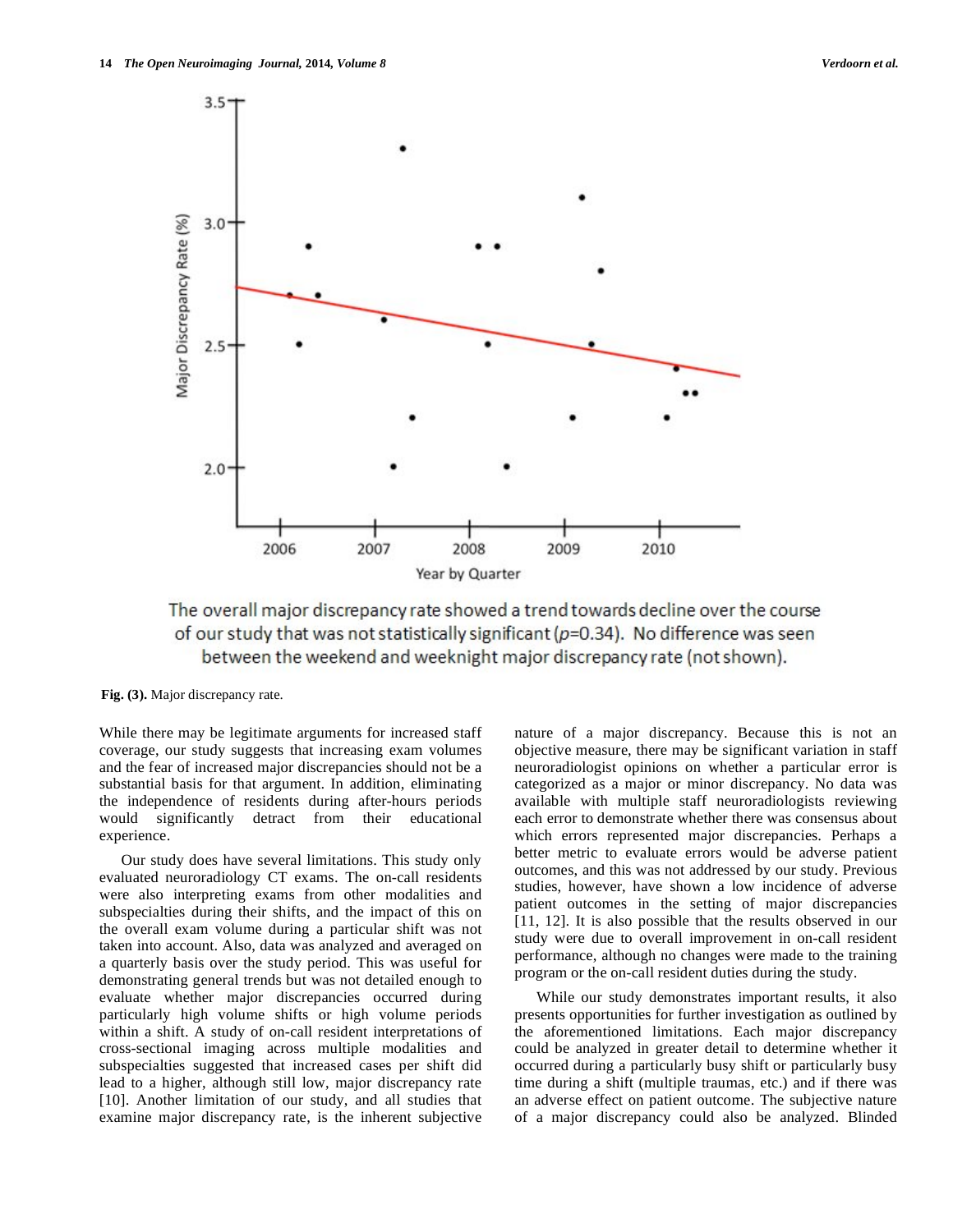

The overall major discrepancy rate showed a trend towards decline over the course of our study that was not statistically significant ( $p=0.34$ ). No difference was seen between the weekend and weeknight major discrepancy rate (not shown).

**Fig. (3).** Major discrepancy rate.

While there may be legitimate arguments for increased staff coverage, our study suggests that increasing exam volumes and the fear of increased major discrepancies should not be a substantial basis for that argument. In addition, eliminating the independence of residents during after-hours periods would significantly detract from their educational experience.

 Our study does have several limitations. This study only evaluated neuroradiology CT exams. The on-call residents were also interpreting exams from other modalities and subspecialties during their shifts, and the impact of this on the overall exam volume during a particular shift was not taken into account. Also, data was analyzed and averaged on a quarterly basis over the study period. This was useful for demonstrating general trends but was not detailed enough to evaluate whether major discrepancies occurred during particularly high volume shifts or high volume periods within a shift. A study of on-call resident interpretations of cross-sectional imaging across multiple modalities and subspecialties suggested that increased cases per shift did lead to a higher, although still low, major discrepancy rate [10]. Another limitation of our study, and all studies that examine major discrepancy rate, is the inherent subjective

nature of a major discrepancy. Because this is not an objective measure, there may be significant variation in staff neuroradiologist opinions on whether a particular error is categorized as a major or minor discrepancy. No data was available with multiple staff neuroradiologists reviewing each error to demonstrate whether there was consensus about which errors represented major discrepancies. Perhaps a better metric to evaluate errors would be adverse patient outcomes, and this was not addressed by our study. Previous studies, however, have shown a low incidence of adverse patient outcomes in the setting of major discrepancies [11, 12]. It is also possible that the results observed in our study were due to overall improvement in on-call resident performance, although no changes were made to the training program or the on-call resident duties during the study.

 While our study demonstrates important results, it also presents opportunities for further investigation as outlined by the aforementioned limitations. Each major discrepancy could be analyzed in greater detail to determine whether it occurred during a particularly busy shift or particularly busy time during a shift (multiple traumas, etc.) and if there was an adverse effect on patient outcome. The subjective nature of a major discrepancy could also be analyzed. Blinded